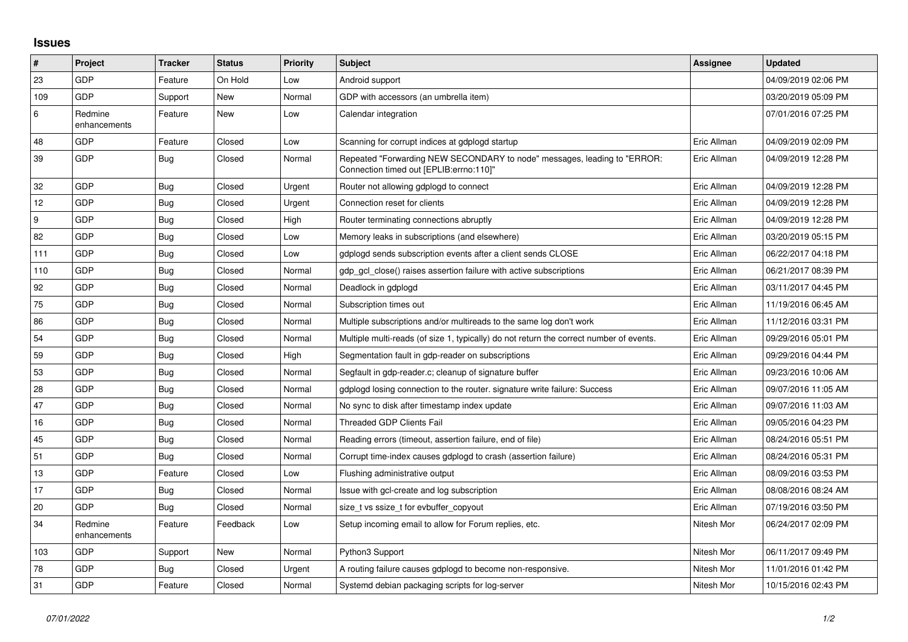## **Issues**

| $\vert$ # | Project                 | <b>Tracker</b> | <b>Status</b> | <b>Priority</b> | <b>Subject</b>                                                                                                      | Assignee    | <b>Updated</b>      |
|-----------|-------------------------|----------------|---------------|-----------------|---------------------------------------------------------------------------------------------------------------------|-------------|---------------------|
| 23        | GDP                     | Feature        | On Hold       | Low             | Android support                                                                                                     |             | 04/09/2019 02:06 PM |
| 109       | <b>GDP</b>              | Support        | <b>New</b>    | Normal          | GDP with accessors (an umbrella item)                                                                               |             | 03/20/2019 05:09 PM |
| 6         | Redmine<br>enhancements | Feature        | New           | Low             | Calendar integration                                                                                                |             | 07/01/2016 07:25 PM |
| 48        | <b>GDP</b>              | Feature        | Closed        | Low             | Scanning for corrupt indices at gdplogd startup                                                                     | Eric Allman | 04/09/2019 02:09 PM |
| 39        | GDP                     | <b>Bug</b>     | Closed        | Normal          | Repeated "Forwarding NEW SECONDARY to node" messages, leading to "ERROR:<br>Connection timed out [EPLIB:errno:110]" | Eric Allman | 04/09/2019 12:28 PM |
| 32        | <b>GDP</b>              | Bug            | Closed        | Urgent          | Router not allowing gdplogd to connect                                                                              | Eric Allman | 04/09/2019 12:28 PM |
| 12        | GDP                     | Bug            | Closed        | Urgent          | Connection reset for clients                                                                                        | Eric Allman | 04/09/2019 12:28 PM |
| 9         | GDP                     | <b>Bug</b>     | Closed        | High            | Router terminating connections abruptly                                                                             | Eric Allman | 04/09/2019 12:28 PM |
| 82        | <b>GDP</b>              | Bug            | Closed        | Low             | Memory leaks in subscriptions (and elsewhere)                                                                       | Eric Allman | 03/20/2019 05:15 PM |
| 111       | <b>GDP</b>              | Bug            | Closed        | Low             | gdplogd sends subscription events after a client sends CLOSE                                                        | Eric Allman | 06/22/2017 04:18 PM |
| 110       | <b>GDP</b>              | Bug            | Closed        | Normal          | gdp gcl close() raises assertion failure with active subscriptions                                                  | Eric Allman | 06/21/2017 08:39 PM |
| 92        | GDP                     | <b>Bug</b>     | Closed        | Normal          | Deadlock in gdplogd                                                                                                 | Eric Allman | 03/11/2017 04:45 PM |
| 75        | <b>GDP</b>              | Bug            | Closed        | Normal          | Subscription times out                                                                                              | Eric Allman | 11/19/2016 06:45 AM |
| 86        | GDP                     | Bug            | Closed        | Normal          | Multiple subscriptions and/or multireads to the same log don't work                                                 | Eric Allman | 11/12/2016 03:31 PM |
| 54        | GDP                     | <b>Bug</b>     | Closed        | Normal          | Multiple multi-reads (of size 1, typically) do not return the correct number of events.                             | Eric Allman | 09/29/2016 05:01 PM |
| 59        | <b>GDP</b>              | Bug            | Closed        | High            | Segmentation fault in gdp-reader on subscriptions                                                                   | Eric Allman | 09/29/2016 04:44 PM |
| 53        | GDP                     | Bug            | Closed        | Normal          | Segfault in gdp-reader.c; cleanup of signature buffer                                                               | Eric Allman | 09/23/2016 10:06 AM |
| 28        | <b>GDP</b>              | <b>Bug</b>     | Closed        | Normal          | gdplogd losing connection to the router. signature write failure: Success                                           | Eric Allman | 09/07/2016 11:05 AM |
| 47        | <b>GDP</b>              | <b>Bug</b>     | Closed        | Normal          | No sync to disk after timestamp index update                                                                        | Eric Allman | 09/07/2016 11:03 AM |
| 16        | GDP                     | Bug            | Closed        | Normal          | <b>Threaded GDP Clients Fail</b>                                                                                    | Eric Allman | 09/05/2016 04:23 PM |
| 45        | <b>GDP</b>              | Bug            | Closed        | Normal          | Reading errors (timeout, assertion failure, end of file)                                                            | Eric Allman | 08/24/2016 05:51 PM |
| 51        | <b>GDP</b>              | <b>Bug</b>     | Closed        | Normal          | Corrupt time-index causes gdplogd to crash (assertion failure)                                                      | Eric Allman | 08/24/2016 05:31 PM |
| 13        | <b>GDP</b>              | Feature        | Closed        | Low             | Flushing administrative output                                                                                      | Eric Allman | 08/09/2016 03:53 PM |
| 17        | GDP                     | <b>Bug</b>     | Closed        | Normal          | Issue with gcl-create and log subscription                                                                          | Eric Allman | 08/08/2016 08:24 AM |
| 20        | GDP                     | Bug            | Closed        | Normal          | size_t vs ssize_t for evbuffer_copyout                                                                              | Eric Allman | 07/19/2016 03:50 PM |
| 34        | Redmine<br>enhancements | Feature        | Feedback      | Low             | Setup incoming email to allow for Forum replies, etc.                                                               | Nitesh Mor  | 06/24/2017 02:09 PM |
| 103       | <b>GDP</b>              | Support        | New           | Normal          | Python3 Support                                                                                                     | Nitesh Mor  | 06/11/2017 09:49 PM |
| 78        | <b>GDP</b>              | Bug            | Closed        | Urgent          | A routing failure causes gdplogd to become non-responsive.                                                          | Nitesh Mor  | 11/01/2016 01:42 PM |
| 31        | GDP                     | Feature        | Closed        | Normal          | Systemd debian packaging scripts for log-server                                                                     | Nitesh Mor  | 10/15/2016 02:43 PM |